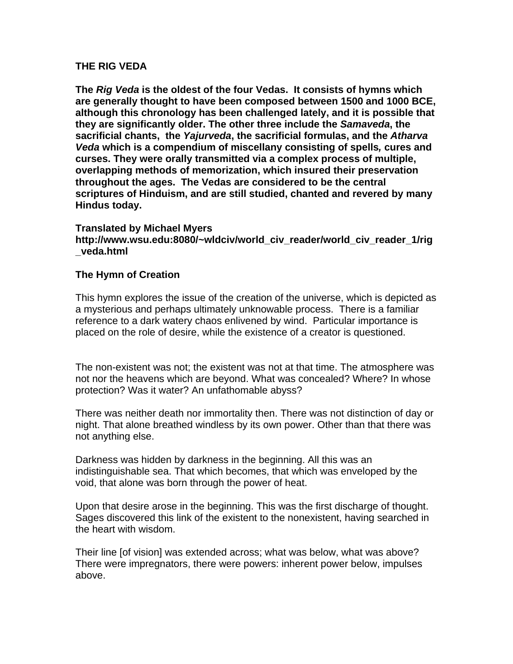# **THE RIG VEDA**

**The** *Rig Veda* **is the oldest of the four Vedas. It consists of hymns which are generally thought to have been composed between 1500 and 1000 BCE, although this chronology has been challenged lately, and it is possible that they are significantly older. The other three include the** *Samaveda***, the sacrificial chants, the** *Yajurveda***, the sacrificial formulas, and the** *Atharva Veda* **which is a compendium of miscellany consisting of spells***,* **cures and curses. They were orally transmitted via a complex process of multiple, overlapping methods of memorization, which insured their preservation throughout the ages. The Vedas are considered to be the central scriptures of Hinduism, and are still studied, chanted and revered by many Hindus today.**

# **Translated by Michael Myers http://www.wsu.edu:8080/~wldciv/world\_civ\_reader/world\_civ\_reader\_1/rig \_veda.html**

## **The Hymn of Creation**

This hymn explores the issue of the creation of the universe, which is depicted as a mysterious and perhaps ultimately unknowable process. There is a familiar reference to a dark watery chaos enlivened by wind. Particular importance is placed on the role of desire, while the existence of a creator is questioned.

The non-existent was not; the existent was not at that time. The atmosphere was not nor the heavens which are beyond. What was concealed? Where? In whose protection? Was it water? An unfathomable abyss?

There was neither death nor immortality then. There was not distinction of day or night. That alone breathed windless by its own power. Other than that there was not anything else.

Darkness was hidden by darkness in the beginning. All this was an indistinguishable sea. That which becomes, that which was enveloped by the void, that alone was born through the power of heat.

Upon that desire arose in the beginning. This was the first discharge of thought. Sages discovered this link of the existent to the nonexistent, having searched in the heart with wisdom.

Their line [of vision] was extended across; what was below, what was above? There were impregnators, there were powers: inherent power below, impulses above.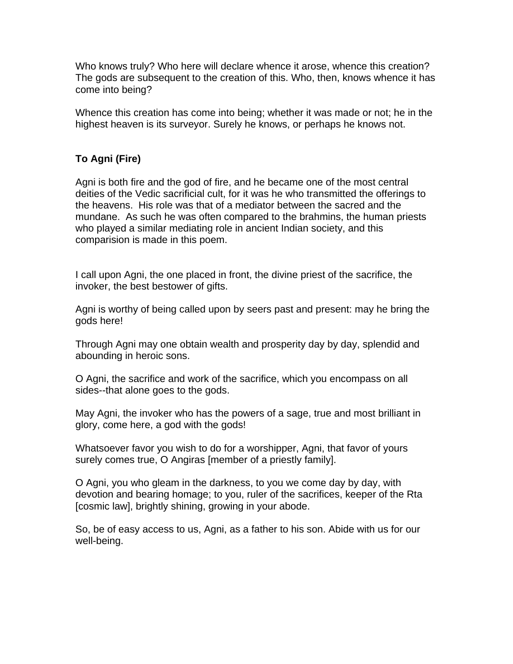Who knows truly? Who here will declare whence it arose, whence this creation? The gods are subsequent to the creation of this. Who, then, knows whence it has come into being?

Whence this creation has come into being; whether it was made or not; he in the highest heaven is its surveyor. Surely he knows, or perhaps he knows not.

# **To Agni (Fire)**

Agni is both fire and the god of fire, and he became one of the most central deities of the Vedic sacrificial cult, for it was he who transmitted the offerings to the heavens. His role was that of a mediator between the sacred and the mundane. As such he was often compared to the brahmins, the human priests who played a similar mediating role in ancient Indian society, and this comparision is made in this poem.

I call upon Agni, the one placed in front, the divine priest of the sacrifice, the invoker, the best bestower of gifts.

Agni is worthy of being called upon by seers past and present: may he bring the gods here!

Through Agni may one obtain wealth and prosperity day by day, splendid and abounding in heroic sons.

O Agni, the sacrifice and work of the sacrifice, which you encompass on all sides--that alone goes to the gods.

May Agni, the invoker who has the powers of a sage, true and most brilliant in glory, come here, a god with the gods!

Whatsoever favor you wish to do for a worshipper, Agni, that favor of yours surely comes true, O Angiras [member of a priestly family].

O Agni, you who gleam in the darkness, to you we come day by day, with devotion and bearing homage; to you, ruler of the sacrifices, keeper of the Rta [cosmic law], brightly shining, growing in your abode.

So, be of easy access to us, Agni, as a father to his son. Abide with us for our well-being.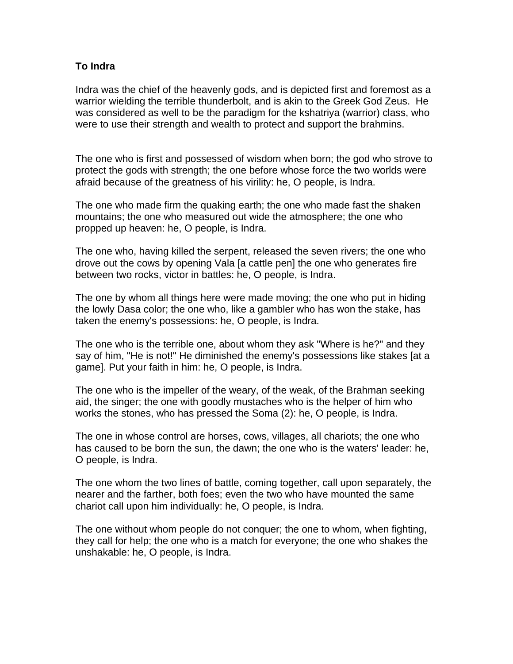# **To Indra**

Indra was the chief of the heavenly gods, and is depicted first and foremost as a warrior wielding the terrible thunderbolt, and is akin to the Greek God Zeus. He was considered as well to be the paradigm for the kshatriya (warrior) class, who were to use their strength and wealth to protect and support the brahmins.

The one who is first and possessed of wisdom when born; the god who strove to protect the gods with strength; the one before whose force the two worlds were afraid because of the greatness of his virility: he, O people, is Indra.

The one who made firm the quaking earth; the one who made fast the shaken mountains; the one who measured out wide the atmosphere; the one who propped up heaven: he, O people, is Indra.

The one who, having killed the serpent, released the seven rivers; the one who drove out the cows by opening Vala [a cattle pen] the one who generates fire between two rocks, victor in battles: he, O people, is Indra.

The one by whom all things here were made moving; the one who put in hiding the lowly Dasa color; the one who, like a gambler who has won the stake, has taken the enemy's possessions: he, O people, is Indra.

The one who is the terrible one, about whom they ask "Where is he?" and they say of him, "He is not!" He diminished the enemy's possessions like stakes [at a game]. Put your faith in him: he, O people, is Indra.

The one who is the impeller of the weary, of the weak, of the Brahman seeking aid, the singer; the one with goodly mustaches who is the helper of him who works the stones, who has pressed the Soma (2): he, O people, is Indra.

The one in whose control are horses, cows, villages, all chariots; the one who has caused to be born the sun, the dawn; the one who is the waters' leader: he, O people, is Indra.

The one whom the two lines of battle, coming together, call upon separately, the nearer and the farther, both foes; even the two who have mounted the same chariot call upon him individually: he, O people, is Indra.

The one without whom people do not conquer; the one to whom, when fighting, they call for help; the one who is a match for everyone; the one who shakes the unshakable: he, O people, is Indra.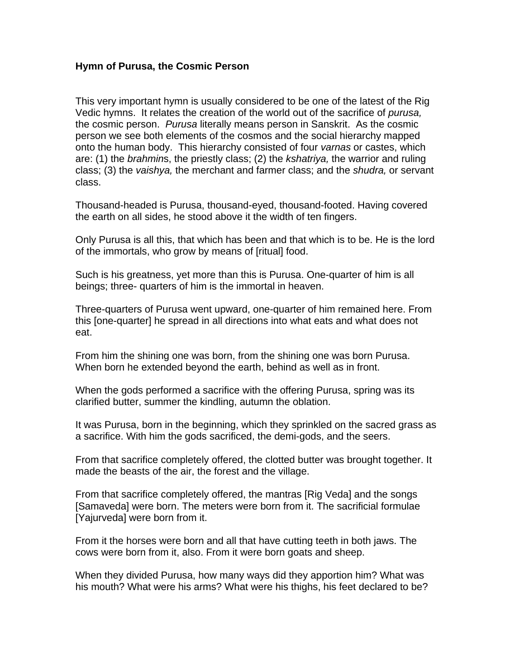# **Hymn of Purusa, the Cosmic Person**

This very important hymn is usually considered to be one of the latest of the Rig Vedic hymns. It relates the creation of the world out of the sacrifice of *purusa,* the cosmic person. *Purusa* literally means person in Sanskrit. As the cosmic person we see both elements of the cosmos and the social hierarchy mapped onto the human body. This hierarchy consisted of four *varnas* or castes, which are: (1) the *brahmin*s, the priestly class; (2) the *kshatriya,* the warrior and ruling class; (3) the *vaishya,* the merchant and farmer class; and the *shudra,* or servant class.

Thousand-headed is Purusa, thousand-eyed, thousand-footed. Having covered the earth on all sides, he stood above it the width of ten fingers.

Only Purusa is all this, that which has been and that which is to be. He is the lord of the immortals, who grow by means of [ritual] food.

Such is his greatness, yet more than this is Purusa. One-quarter of him is all beings; three- quarters of him is the immortal in heaven.

Three-quarters of Purusa went upward, one-quarter of him remained here. From this [one-quarter] he spread in all directions into what eats and what does not eat.

From him the shining one was born, from the shining one was born Purusa. When born he extended beyond the earth, behind as well as in front.

When the gods performed a sacrifice with the offering Purusa, spring was its clarified butter, summer the kindling, autumn the oblation.

It was Purusa, born in the beginning, which they sprinkled on the sacred grass as a sacrifice. With him the gods sacrificed, the demi-gods, and the seers.

From that sacrifice completely offered, the clotted butter was brought together. It made the beasts of the air, the forest and the village.

From that sacrifice completely offered, the mantras [Rig Veda] and the songs [Samaveda] were born. The meters were born from it. The sacrificial formulae [Yajurveda] were born from it.

From it the horses were born and all that have cutting teeth in both jaws. The cows were born from it, also. From it were born goats and sheep.

When they divided Purusa, how many ways did they apportion him? What was his mouth? What were his arms? What were his thighs, his feet declared to be?